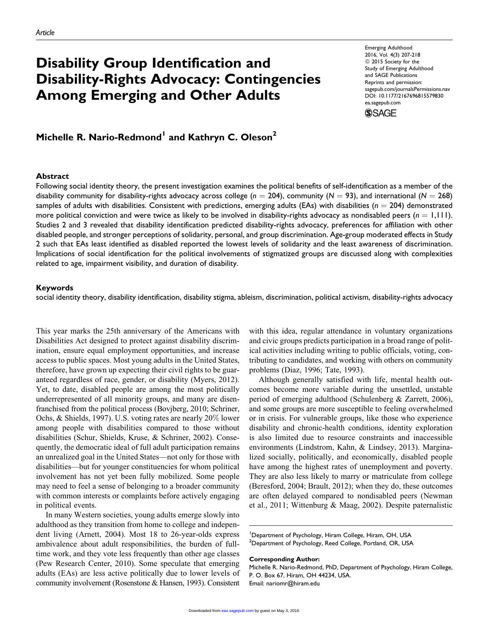# Disability Group Identification and Disability-Rights Advocacy: Contingencies Among Emerging and Other Adults

Emerging Adulthood 2016, Vol. 4(3) 207-218  $@$  2015 Society for the Study of Emerging Adulthood and SAGE Publications Reprints and permission: [sagepub.com/journalsPermissions.nav](http://www.sagepub.com/journalsPermissions.nav) DOI: 10.1177/2167696815579830 [ea.sagepub.com](http://ea.sagepub.com)



Michelle R. Nario-Redmond<sup>1</sup> and Kathryn C. Oleson<sup>2</sup>

#### Abstract

Following social identity theory, the present investigation examines the political benefits of self-identification as a member of the disability community for disability-rights advocacy across college ( $n = 204$ ), community ( $N = 93$ ), and international ( $N = 268$ ) samples of adults with disabilities. Consistent with predictions, emerging adults (EAs) with disabilities ( $n = 204$ ) demonstrated more political conviction and were twice as likely to be involved in disability-rights advocacy as nondisabled peers ( $n = 1,111$ ). Studies 2 and 3 revealed that disability identification predicted disability-rights advocacy, preferences for affiliation with other disabled people, and stronger perceptions of solidarity, personal, and group discrimination. Age-group moderated effects in Study 2 such that EAs least identified as disabled reported the lowest levels of solidarity and the least awareness of discrimination. Implications of social identification for the political involvements of stigmatized groups are discussed along with complexities related to age, impairment visibility, and duration of disability.

#### Keywords

social identity theory, disability identification, disability stigma, ableism, discrimination, political activism, disability-rights advocacy

This year marks the 25th anniversary of the Americans with Disabilities Act designed to protect against disability discrimination, ensure equal employment opportunities, and increase access to public spaces. Most young adults in the United States, therefore, have grown up expecting their civil rights to be guaranteed regardless of race, gender, or disability (Myers, 2012). Yet, to date, disabled people are among the most politically underrepresented of all minority groups, and many are disenfranchised from the political process (Bovjberg, 2010; Schriner, Ochs, & Shields, 1997). U.S. voting rates are nearly 20% lower among people with disabilities compared to those without disabilities (Schur, Shields, Kruse, & Schriner, 2002). Consequently, the democratic ideal of full adult participation remains an unrealized goal in the United States—not only for those with disabilities—but for younger constituencies for whom political involvement has not yet been fully mobilized. Some people may need to feel a sense of belonging to a broader community with common interests or complaints before actively engaging in political events.

In many Western societies, young adults emerge slowly into adulthood as they transition from home to college and independent living (Arnett, 2004). Most 18 to 26-year-olds express ambivalence about adult responsibilities, the burden of fulltime work, and they vote less frequently than other age classes (Pew Research Center, 2010). Some speculate that emerging adults (EAs) are less active politically due to lower levels of community involvement (Rosenstone & Hansen, 1993). Consistent

with this idea, regular attendance in voluntary organizations and civic groups predicts participation in a broad range of political activities including writing to public officials, voting, contributing to candidates, and working with others on community problems (Diaz, 1996; Tate, 1993).

Although generally satisfied with life, mental health outcomes become more variable during the unsettled, unstable period of emerging adulthood (Schulenberg & Zarrett, 2006), and some groups are more susceptible to feeling overwhelmed or in crisis. For vulnerable groups, like those who experience disability and chronic-health conditions, identity exploration is also limited due to resource constraints and inaccessible environments (Lindstrom, Kahn, & Lindsey, 2013). Marginalized socially, politically, and economically, disabled people have among the highest rates of unemployment and poverty. They are also less likely to marry or matriculate from college (Beresford, 2004; Brault, 2012); when they do, these outcomes are often delayed compared to nondisabled peers (Newman et al., 2011; Wittenburg & Maag, 2002). Despite paternalistic

#### Corresponding Author:

Michelle R. Nario-Redmond, PhD, Department of Psychology, Hiram College, P. O. Box 67, Hiram, OH 44234, USA. Email: nariomr@hiram.edu

<sup>&</sup>lt;sup>1</sup>Department of Psychology, Hiram College, Hiram, OH, USA  $^{\rm 2}$ Department of Psychology, Reed College, Portland, OR, USA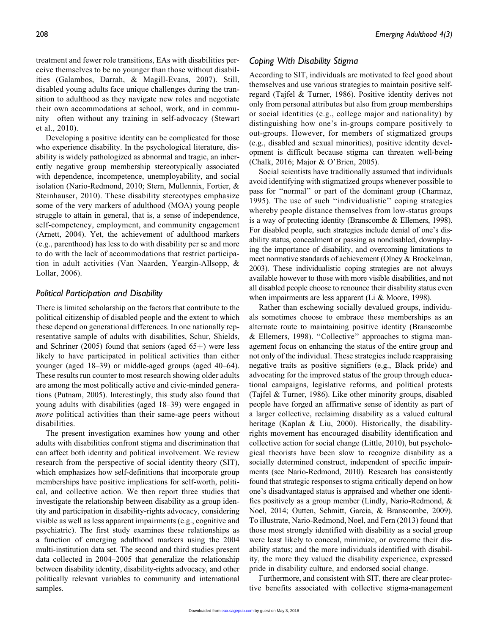treatment and fewer role transitions, EAs with disabilities perceive themselves to be no younger than those without disabilities (Galambos, Darrah, & Magill-Evans, 2007). Still, disabled young adults face unique challenges during the transition to adulthood as they navigate new roles and negotiate their own accommodations at school, work, and in community—often without any training in self-advocacy (Stewart et al., 2010).

Developing a positive identity can be complicated for those who experience disability. In the psychological literature, disability is widely pathologized as abnormal and tragic, an inherently negative group membership stereotypically associated with dependence, incompetence, unemployability, and social isolation (Nario-Redmond, 2010; Stern, Mullennix, Fortier, & Steinhauser, 2010). These disability stereotypes emphasize some of the very markers of adulthood (MOA) young people struggle to attain in general, that is, a sense of independence, self-competency, employment, and community engagement (Arnett, 2004). Yet, the achievement of adulthood markers (e.g., parenthood) has less to do with disability per se and more to do with the lack of accommodations that restrict participation in adult activities (Van Naarden, Yeargin-Allsopp, & Lollar, 2006).

## Political Participation and Disability

There is limited scholarship on the factors that contribute to the political citizenship of disabled people and the extent to which these depend on generational differences. In one nationally representative sample of adults with disabilities, Schur, Shields, and Schriner (2005) found that seniors (aged  $65+)$  were less likely to have participated in political activities than either younger (aged 18–39) or middle-aged groups (aged 40–64). These results run counter to most research showing older adults are among the most politically active and civic-minded generations (Putnam, 2005). Interestingly, this study also found that young adults with disabilities (aged 18–39) were engaged in more political activities than their same-age peers without disabilities.

The present investigation examines how young and other adults with disabilities confront stigma and discrimination that can affect both identity and political involvement. We review research from the perspective of social identity theory (SIT), which emphasizes how self-definitions that incorporate group memberships have positive implications for self-worth, political, and collective action. We then report three studies that investigate the relationship between disability as a group identity and participation in disability-rights advocacy, considering visible as well as less apparent impairments (e.g., cognitive and psychiatric). The first study examines these relationships as a function of emerging adulthood markers using the 2004 multi-institution data set. The second and third studies present data collected in 2004–2005 that generalize the relationship between disability identity, disability-rights advocacy, and other politically relevant variables to community and international samples.

## Coping With Disability Stigma

According to SIT, individuals are motivated to feel good about themselves and use various strategies to maintain positive selfregard (Tajfel & Turner, 1986). Positive identity derives not only from personal attributes but also from group memberships or social identities (e.g., college major and nationality) by distinguishing how one's in-groups compare positively to out-groups. However, for members of stigmatized groups (e.g., disabled and sexual minorities), positive identity development is difficult because stigma can threaten well-being (Chalk, 2016; Major & O'Brien, 2005).

Social scientists have traditionally assumed that individuals avoid identifying with stigmatized groups whenever possible to pass for ''normal'' or part of the dominant group (Charmaz, 1995). The use of such ''individualistic'' coping strategies whereby people distance themselves from low-status groups is a way of protecting identity (Branscombe & Ellemers, 1998). For disabled people, such strategies include denial of one's disability status, concealment or passing as nondisabled, downplaying the importance of disability, and overcoming limitations to meet normative standards of achievement (Olney & Brockelman, 2003). These individualistic coping strategies are not always available however to those with more visible disabilities, and not all disabled people choose to renounce their disability status even when impairments are less apparent (Li & Moore, 1998).

Rather than eschewing socially devalued groups, individuals sometimes choose to embrace these memberships as an alternate route to maintaining positive identity (Branscombe & Ellemers, 1998). ''Collective'' approaches to stigma management focus on enhancing the status of the entire group and not only of the individual. These strategies include reappraising negative traits as positive signifiers (e.g., Black pride) and advocating for the improved status of the group through educational campaigns, legislative reforms, and political protests (Tajfel & Turner, 1986). Like other minority groups, disabled people have forged an affirmative sense of identity as part of a larger collective, reclaiming disability as a valued cultural heritage (Kaplan & Liu, 2000). Historically, the disabilityrights movement has encouraged disability identification and collective action for social change (Little, 2010), but psychological theorists have been slow to recognize disability as a socially determined construct, independent of specific impairments (see Nario-Redmond, 2010). Research has consistently found that strategic responses to stigma critically depend on how one's disadvantaged status is appraised and whether one identifies positively as a group member (Lindly, Nario-Redmond, & Noel, 2014; Outten, Schmitt, Garcia, & Branscombe, 2009). To illustrate, Nario-Redmond, Noel, and Fern (2013) found that those most strongly identified with disability as a social group were least likely to conceal, minimize, or overcome their disability status; and the more individuals identified with disability, the more they valued the disability experience, expressed pride in disability culture, and endorsed social change.

Furthermore, and consistent with SIT, there are clear protective benefits associated with collective stigma-management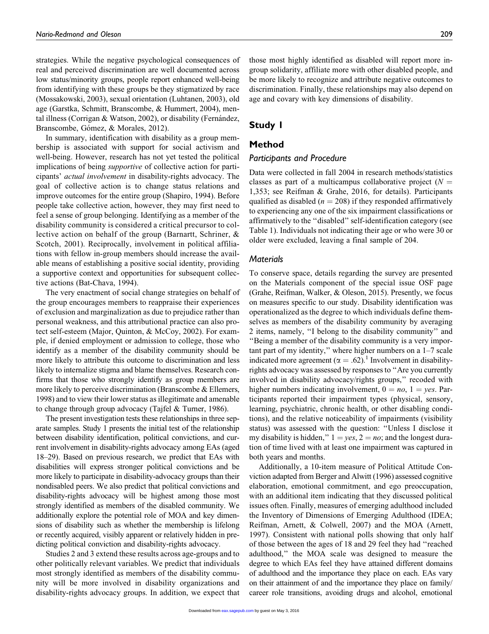strategies. While the negative psychological consequences of real and perceived discrimination are well documented across low status/minority groups, people report enhanced well-being from identifying with these groups be they stigmatized by race (Mossakowski, 2003), sexual orientation (Luhtanen, 2003), old age (Garstka, Schmitt, Branscombe, & Hummert, 2004), mental illness (Corrigan & Watson, 2002), or disability (Fernandez, Branscombe, Gómez, & Morales, 2012).

In summary, identification with disability as a group membership is associated with support for social activism and well-being. However, research has not yet tested the political implications of being supportive of collective action for participants' actual involvement in disability-rights advocacy. The goal of collective action is to change status relations and improve outcomes for the entire group (Shapiro, 1994). Before people take collective action, however, they may first need to feel a sense of group belonging. Identifying as a member of the disability community is considered a critical precursor to collective action on behalf of the group (Barnartt, Schriner, & Scotch, 2001). Reciprocally, involvement in political affiliations with fellow in-group members should increase the available means of establishing a positive social identity, providing a supportive context and opportunities for subsequent collective actions (Bat-Chava, 1994).

The very enactment of social change strategies on behalf of the group encourages members to reappraise their experiences of exclusion and marginalization as due to prejudice rather than personal weakness, and this attributional practice can also protect self-esteem (Major, Quinton, & McCoy, 2002). For example, if denied employment or admission to college, those who identify as a member of the disability community should be more likely to attribute this outcome to discrimination and less likely to internalize stigma and blame themselves. Research confirms that those who strongly identify as group members are more likely to perceive discrimination (Branscombe & Ellemers, 1998) and to view their lower status as illegitimate and amenable to change through group advocacy (Tajfel & Turner, 1986).

The present investigation tests these relationships in three separate samples. Study 1 presents the initial test of the relationship between disability identification, political convictions, and current involvement in disability-rights advocacy among EAs (aged 18–29). Based on previous research, we predict that EAs with disabilities will express stronger political convictions and be more likely to participate in disability-advocacy groups than their nondisabled peers. We also predict that political convictions and disability-rights advocacy will be highest among those most strongly identified as members of the disabled community. We additionally explore the potential role of MOA and key dimensions of disability such as whether the membership is lifelong or recently acquired, visibly apparent or relatively hidden in predicting political conviction and disability-rights advocacy.

Studies 2 and 3 extend these results across age-groups and to other politically relevant variables. We predict that individuals most strongly identified as members of the disability community will be more involved in disability organizations and disability-rights advocacy groups. In addition, we expect that

those most highly identified as disabled will report more ingroup solidarity, affiliate more with other disabled people, and be more likely to recognize and attribute negative outcomes to discrimination. Finally, these relationships may also depend on age and covary with key dimensions of disability.

# Study 1

## Method

## Participants and Procedure

Data were collected in fall 2004 in research methods/statistics classes as part of a multicampus collaborative project  $(N =$ 1,353; see Reifman & Grahe, 2016, for details). Participants qualified as disabled ( $n = 208$ ) if they responded affirmatively to experiencing any one of the six impairment classifications or affirmatively to the ''disabled'' self-identification category (see Table 1). Individuals not indicating their age or who were 30 or older were excluded, leaving a final sample of 204.

#### **Materials**

To conserve space, details regarding the survey are presented on the Materials component of the special issue OSF page (Grahe, Reifman, Walker, & Oleson, 2015). Presently, we focus on measures specific to our study. Disability identification was operationalized as the degree to which individuals define themselves as members of the disability community by averaging 2 items, namely, ''I belong to the disability community'' and ''Being a member of the disability community is a very important part of my identity," where higher numbers on a 1-7 scale indicated more agreement ( $\alpha = .62$ ).<sup>1</sup> Involvement in disabilityrights advocacy was assessed by responses to ''Are you currently involved in disability advocacy/rights groups,'' recoded with higher numbers indicating involvement,  $0 = no$ ,  $1 = yes$ . Participants reported their impairment types (physical, sensory, learning, psychiatric, chronic health, or other disabling conditions), and the relative noticeability of impairments (visibility status) was assessed with the question: ''Unless I disclose it my disability is hidden,"  $1 = yes, 2 = no$ ; and the longest duration of time lived with at least one impairment was captured in both years and months.

Additionally, a 10-item measure of Political Attitude Conviction adapted from Berger and Alwitt (1996) assessed cognitive elaboration, emotional commitment, and ego preoccupation, with an additional item indicating that they discussed political issues often. Finally, measures of emerging adulthood included the Inventory of Dimensions of Emerging Adulthood (IDEA; Reifman, Arnett, & Colwell, 2007) and the MOA (Arnett, 1997). Consistent with national polls showing that only half of those between the ages of 18 and 29 feel they had ''reached adulthood,'' the MOA scale was designed to measure the degree to which EAs feel they have attained different domains of adulthood and the importance they place on each. EAs vary on their attainment of and the importance they place on family/ career role transitions, avoiding drugs and alcohol, emotional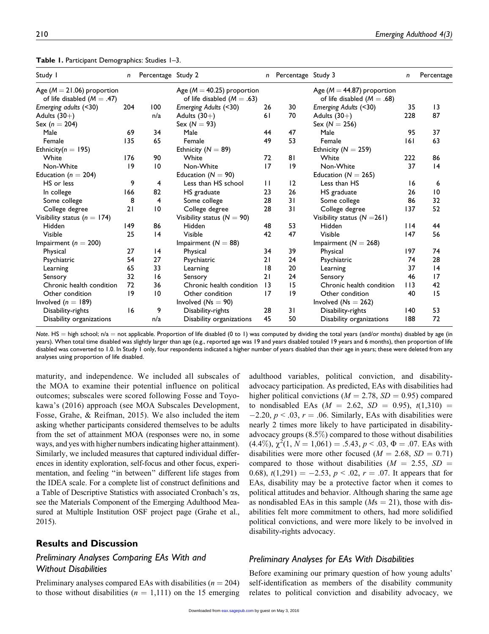| Study I                                                          | n   | Percentage Study 2 |                                                                | n               | Percentage Study 3 |                                                                | n          | Percentage      |
|------------------------------------------------------------------|-----|--------------------|----------------------------------------------------------------|-----------------|--------------------|----------------------------------------------------------------|------------|-----------------|
| Age ( $M = 21.06$ ) proportion<br>of life disabled ( $M = .47$ ) |     |                    | Age ( $M = 40.25$ ) proportion<br>of life disabled $(M = .63)$ |                 |                    | Age ( $M = 44.87$ ) proportion<br>of life disabled $(M = .68)$ |            |                 |
| Emerging adults (<30)                                            | 204 | 100                | Emerging Adults (<30)                                          | 26              | 30                 | Emerging Adults (<30)                                          | 35         | $\overline{13}$ |
| Adults $(30+)$                                                   |     | n/a                | Adults $(30+)$                                                 | 61              | 70                 | Adults $(30+)$                                                 | 228        | 87              |
| Sex ( $n = 204$ )                                                |     |                    | Sex $(N = 93)$                                                 |                 |                    | Sex $(N = 256)$                                                |            |                 |
| Male                                                             | 69  | 34                 | Male                                                           | 44              | 47                 | Male                                                           | 95         | 37              |
| Female                                                           | 135 | 65                 | Female                                                         | 49              | 53                 | Female                                                         | 6          | 63              |
| Ethnicity( $n = 195$ )                                           |     |                    | Ethnicity ( $N = 89$ )                                         |                 |                    | Ethnicity ( $N = 259$ )                                        |            |                 |
| White                                                            | 176 | 90                 | White                                                          | 72              | 81                 | White                                                          | 222        | 86              |
| Non-White                                                        | 9   | $\overline{0}$     | Non-White                                                      | 17              | 9                  | Non-White                                                      | 37         | 4               |
| Education ( $n = 204$ )                                          |     |                    | Education ( $N = 90$ )                                         |                 |                    | Education ( $N = 265$ )                                        |            |                 |
| HS or less                                                       | 9   | 4                  | Less than HS school                                            | П               | 12                 | Less than HS                                                   | 16         | 6               |
| In college                                                       | 166 | 82                 | HS graduate                                                    | 23              | 26                 | HS graduate                                                    | 26         | 0               |
| Some college                                                     | 8   | 4                  | Some college                                                   | 28              | 31                 | Some college                                                   | 86         | 32              |
| College degree                                                   | 21  | 10                 | College degree                                                 | 28              | 31                 | College degree                                                 | 137        | 52              |
| Visibility status ( $n = 174$ )                                  |     |                    | Visibility status ( $N = 90$ )                                 |                 |                    | Visibility status $(N = 261)$                                  |            |                 |
| Hidden                                                           | 149 | 86                 | Hidden                                                         | 48              | 53                 | Hidden                                                         | $ $  4     | 44              |
| Visible                                                          | 25  | 4                  | Visible                                                        | 42              | 47                 | Visible                                                        | 147        | 56              |
| Impairment ( $n = 200$ )                                         |     |                    | Impairment ( $N = 88$ )                                        |                 |                    | Impairment ( $N = 268$ )                                       |            |                 |
| Physical                                                         | 27  | $\overline{14}$    | Physical                                                       | 34              | 39                 | Physical                                                       | 197        | 74              |
| Psychiatric                                                      | 54  | 27                 | Psychiatric                                                    | 21              | 24                 | Psychiatric                                                    | 74         | 28              |
| Learning                                                         | 65  | 33                 | Learning                                                       | 18              | 20                 | Learning                                                       | 37         | 4               |
| Sensory                                                          | 32  | 16                 | Sensory                                                        | 21              | 24                 | Sensory                                                        | 46         | 17              |
| Chronic health condition                                         | 72  | 36                 | Chronic health condition                                       | $\overline{13}$ | 15                 | Chronic health condition                                       | <b>II3</b> | 42              |
| Other condition                                                  | 19  | 10                 | Other condition                                                | 17              | 9                  | Other condition                                                | 40         | 15              |
| Involved $(n = 189)$                                             |     |                    | Involved $(Ns = 90)$                                           |                 |                    | Involved ( $Ns = 262$ )                                        |            |                 |
| Disability-rights                                                | 16  | 9                  | Disability-rights                                              | 28              | 31                 | Disability-rights                                              | 140        | 53              |
| Disability organizations                                         |     | n/a                | Disability organizations                                       | 45              | 50                 | Disability organizations                                       | 188        | 72              |

Table 1. Participant Demographics: Studies 1–3.

Note. HS = high school; n/a = not applicable. Proportion of life disabled (0 to 1) was computed by dividing the total years (and/or months) disabled by age (in years). When total time disabled was slightly larger than age (e.g., reported age was 19 and years disabled totaled 19 years and 6 months), then proportion of life disabled was converted to 1.0. In Study 1 only, four respondents indicated a higher number of years disabled than their age in years; these were deleted from any analyses using proportion of life disabled.

maturity, and independence. We included all subscales of the MOA to examine their potential influence on political outcomes; subscales were scored following Fosse and Toyokawa's (2016) approach (see MOA Subscales Development, Fosse, Grahe, & Reifman, 2015). We also included the item asking whether participants considered themselves to be adults from the set of attainment MOA (responses were no, in some ways, and yes with higher numbers indicating higher attainment). Similarly, we included measures that captured individual differences in identity exploration, self-focus and other focus, experimentation, and feeling ''in between'' different life stages from the IDEA scale. For a complete list of construct definitions and a Table of Descriptive Statistics with associated Cronbach's as, see the Materials Component of the Emerging Adulthood Measured at Multiple Institution OSF project page (Grahe et al., 2015).

# Results and Discussion

# Preliminary Analyses Comparing EAs With and Without Disabilities

Preliminary analyses compared EAs with disabilities ( $n = 204$ ) to those without disabilities ( $n = 1,111$ ) on the 15 emerging adulthood variables, political conviction, and disabilityadvocacy participation. As predicted, EAs with disabilities had higher political convictions ( $M = 2.78$ ,  $SD = 0.95$ ) compared to nondisabled EAs ( $M = 2.62$ ,  $SD = 0.95$ ),  $t(1,310) =$  $-2.20, p < .03, r = .06$ . Similarly, EAs with disabilities were nearly 2 times more likely to have participated in disabilityadvocacy groups (8.5%) compared to those without disabilities  $(4.4\%), \chi^2(1, N=1,061) = .5.43, p < .03, \Phi = .07$ . EAs with disabilities were more other focused ( $M = 2.68$ ,  $SD = 0.71$ ) compared to those without disabilities ( $M = 2.55$ ,  $SD =$ 0.68),  $t(1,291) = -2.53$ ,  $p < .02$ ,  $r = .07$ . It appears that for EAs, disability may be a protective factor when it comes to political attitudes and behavior. Although sharing the same age as nondisabled EAs in this sample  $(Ms = 21)$ , those with disabilities felt more commitment to others, had more solidified political convictions, and were more likely to be involved in disability-rights advocacy.

# Preliminary Analyses for EAs With Disabilities

Before examining our primary question of how young adults' self-identification as members of the disability community relates to political conviction and disability advocacy, we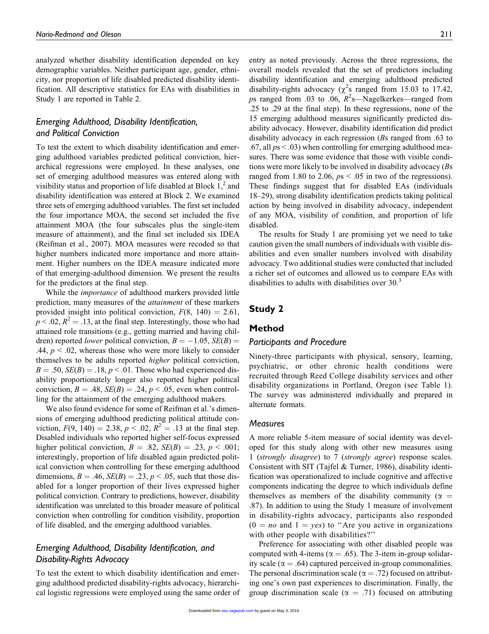analyzed whether disability identification depended on key demographic variables. Neither participant age, gender, ethnicity, nor proportion of life disabled predicted disability identification. All descriptive statistics for EAs with disabilities in Study 1 are reported in Table 2.

# Emerging Adulthood, Disability Identification, and Political Conviction

To test the extent to which disability identification and emerging adulthood variables predicted political conviction, hierarchical regressions were employed. In these analyses, one set of emerging adulthood measures was entered along with visibility status and proportion of life disabled at Block  $1<sup>2</sup>$  and disability identification was entered at Block 2. We examined three sets of emerging adulthood variables. The first set included the four importance MOA, the second set included the five attainment MOA (the four subscales plus the single-item measure of attainment), and the final set included six IDEA (Reifman et al., 2007). MOA measures were recoded so that higher numbers indicated more importance and more attainment. Higher numbers on the IDEA measure indicated more of that emerging-adulthood dimension. We present the results for the predictors at the final step.

While the *importance* of adulthood markers provided little prediction, many measures of the attainment of these markers provided insight into political conviction,  $F(8, 140) = 2.61$ ,  $p < .02$ ,  $R^2 = .13$ , at the final step. Interestingly, those who had attained role transitions (e.g., getting married and having children) reported *lower* political conviction,  $B = -1.05$ ,  $SE(B) =$ .44,  $p < 0.02$ , whereas those who were more likely to consider themselves to be adults reported higher political conviction,  $B = .50$ ,  $SE(B) = .18$ ,  $p < .01$ . Those who had experienced disability proportionately longer also reported higher political conviction,  $B = .48$ ,  $SE(B) = .24$ ,  $p < .05$ , even when controlling for the attainment of the emerging adulthood makers.

We also found evidence for some of Reifman et al.'s dimensions of emerging adulthood predicting political attitude conviction,  $F(9, 140) = 2.38$ ,  $p < .02$ ,  $R^2 = .13$  at the final step. Disabled individuals who reported higher self-focus expressed higher political conviction,  $B = .82$ ,  $SE(B) = .23$ ,  $p < .001$ ; interestingly, proportion of life disabled again predicted political conviction when controlling for these emerging adulthood dimensions,  $B = .46$ ,  $SE(B) = .23$ ,  $p < .05$ , such that those disabled for a longer proportion of their lives expressed higher political conviction. Contrary to predictions, however, disability identification was unrelated to this broader measure of political conviction when controlling for condition visibility, proportion of life disabled, and the emerging adulthood variables.

# Emerging Adulthood, Disability Identification, and Disability-Rights Advocacy

To test the extent to which disability identification and emerging adulthood predicted disability-rights advocacy, hierarchical logistic regressions were employed using the same order of entry as noted previously. Across the three regressions, the overall models revealed that the set of predictors including disability identification and emerging adulthood predicted disability-rights advocacy ( $\chi^2$ s ranged from 15.03 to 17.42, ps ranged from .03 to .06,  $R^2$ s—Nagelkerkes—ranged from .25 to .29 at the final step). In these regressions, none of the 15 emerging adulthood measures significantly predicted disability advocacy. However, disability identification did predict disability advocacy in each regression (Bs ranged from .63 to .67, all  $ps < .03$ ) when controlling for emerging adulthood measures. There was some evidence that those with visible conditions were more likely to be involved in disability advocacy (Bs ranged from 1.80 to 2.06,  $ps < .05$  in two of the regressions). These findings suggest that for disabled EAs (individuals 18–29), strong disability identification predicts taking political action by being involved in disability advocacy, independent of any MOA, visibility of condition, and proportion of life disabled.

The results for Study 1 are promising yet we need to take caution given the small numbers of individuals with visible disabilities and even smaller numbers involved with disability advocacy. Two additional studies were conducted that included a richer set of outcomes and allowed us to compare EAs with disabilities to adults with disabilities over 30.<sup>3</sup>

# Study 2

## Method

## Participants and Procedure

Ninety-three participants with physical, sensory, learning, psychiatric, or other chronic health conditions were recruited through Reed College disability services and other disability organizations in Portland, Oregon (see Table 1). The survey was administered individually and prepared in alternate formats.

#### Measures

A more reliable 5-item measure of social identity was developed for this study along with other new measures using 1 (strongly disagree) to 7 (strongly agree) response scales. Consistent with SIT (Tajfel & Turner, 1986), disability identification was operationalized to include cognitive and affective components indicating the degree to which individuals define themselves as members of the disability community ( $\alpha$  = .87). In addition to using the Study 1 measure of involvement in disability-rights advocacy, participants also responded  $(0 = no$  and  $1 = yes)$  to "Are you active in organizations" with other people with disabilities?''

Preference for associating with other disabled people was computed with 4-items ( $\alpha = .65$ ). The 3-item in-group solidarity scale ( $\alpha = .64$ ) captured perceived in-group commonalities. The personal discrimination scale ( $\alpha = .72$ ) focused on attributing one's own past experiences to discrimination. Finally, the group discrimination scale ( $\alpha = .71$ ) focused on attributing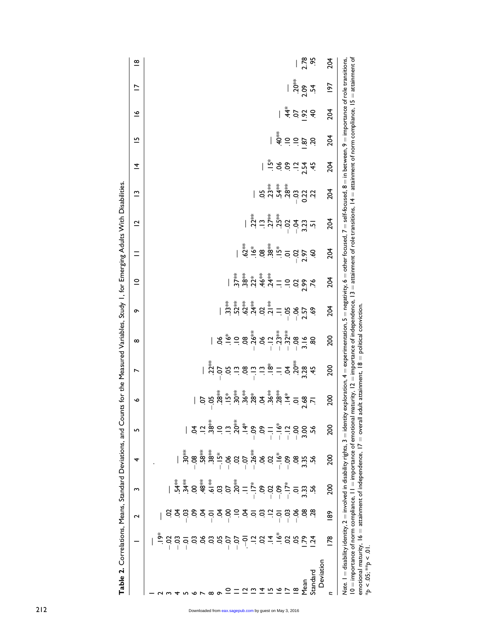|                                                                                                                                                                                                                                                                                    |                                                                                                                                                                                                                                                                                                                                 |    | 3   | 4                                        | 5                                                                                                                                                                                                                                                                                                                                                                                                            | ç                                                                                                                                                                                                                                                                                                                                                  | r                                                                                                                                                         | $\infty$                           | ò                                                                                                                                                                                                                                                                                                                                                                                                                                                          | $\subseteq$ |                                                                                                                                                                                                                                                                                                                                  | $\overline{C}$                                        | $\tilde{ }$ | ᅕ                                                                                                                                 | 으                                                                                                                             | ڡ    | $\overline{\phantom{0}}$    | $\mathbf{\underline{\infty}}$ |
|------------------------------------------------------------------------------------------------------------------------------------------------------------------------------------------------------------------------------------------------------------------------------------|---------------------------------------------------------------------------------------------------------------------------------------------------------------------------------------------------------------------------------------------------------------------------------------------------------------------------------|----|-----|------------------------------------------|--------------------------------------------------------------------------------------------------------------------------------------------------------------------------------------------------------------------------------------------------------------------------------------------------------------------------------------------------------------------------------------------------------------|----------------------------------------------------------------------------------------------------------------------------------------------------------------------------------------------------------------------------------------------------------------------------------------------------------------------------------------------------|-----------------------------------------------------------------------------------------------------------------------------------------------------------|------------------------------------|------------------------------------------------------------------------------------------------------------------------------------------------------------------------------------------------------------------------------------------------------------------------------------------------------------------------------------------------------------------------------------------------------------------------------------------------------------|-------------|----------------------------------------------------------------------------------------------------------------------------------------------------------------------------------------------------------------------------------------------------------------------------------------------------------------------------------|-------------------------------------------------------|-------------|-----------------------------------------------------------------------------------------------------------------------------------|-------------------------------------------------------------------------------------------------------------------------------|------|-----------------------------|-------------------------------|
|                                                                                                                                                                                                                                                                                    |                                                                                                                                                                                                                                                                                                                                 |    |     |                                          |                                                                                                                                                                                                                                                                                                                                                                                                              |                                                                                                                                                                                                                                                                                                                                                    |                                                                                                                                                           |                                    |                                                                                                                                                                                                                                                                                                                                                                                                                                                            |             |                                                                                                                                                                                                                                                                                                                                  |                                                       |             |                                                                                                                                   |                                                                                                                               |      |                             |                               |
|                                                                                                                                                                                                                                                                                    |                                                                                                                                                                                                                                                                                                                                 |    |     |                                          |                                                                                                                                                                                                                                                                                                                                                                                                              |                                                                                                                                                                                                                                                                                                                                                    |                                                                                                                                                           |                                    |                                                                                                                                                                                                                                                                                                                                                                                                                                                            |             |                                                                                                                                                                                                                                                                                                                                  |                                                       |             |                                                                                                                                   |                                                                                                                               |      |                             |                               |
|                                                                                                                                                                                                                                                                                    | $\frac{1}{2}$ , $\frac{1}{3}$ , $\frac{1}{3}$ , $\frac{1}{6}$ , $\frac{1}{3}$ , $\frac{1}{6}$ , $\frac{1}{6}$ , $\frac{1}{6}$ , $\frac{1}{6}$ , $\frac{1}{6}$ , $\frac{1}{6}$ , $\frac{1}{6}$ , $\frac{1}{3}$ , $\frac{1}{2}$ , $\frac{1}{3}$ , $\frac{1}{2}$ , $\frac{1}{3}$ , $\frac{1}{2}$ , $\frac{1}{3}$ , $\frac{1}{2}$ , |    |     |                                          |                                                                                                                                                                                                                                                                                                                                                                                                              |                                                                                                                                                                                                                                                                                                                                                    |                                                                                                                                                           |                                    |                                                                                                                                                                                                                                                                                                                                                                                                                                                            |             |                                                                                                                                                                                                                                                                                                                                  |                                                       |             |                                                                                                                                   |                                                                                                                               |      |                             |                               |
|                                                                                                                                                                                                                                                                                    |                                                                                                                                                                                                                                                                                                                                 |    |     |                                          |                                                                                                                                                                                                                                                                                                                                                                                                              |                                                                                                                                                                                                                                                                                                                                                    |                                                                                                                                                           |                                    |                                                                                                                                                                                                                                                                                                                                                                                                                                                            |             |                                                                                                                                                                                                                                                                                                                                  |                                                       |             |                                                                                                                                   |                                                                                                                               |      |                             |                               |
|                                                                                                                                                                                                                                                                                    |                                                                                                                                                                                                                                                                                                                                 |    |     | ٳڿۣۣۜۏۊڿۄڿۄڿ<br>ٳڿۣۏۊڿۄڿۄڿۄڿۄڿۄڿۄڿۄڿۣۄڿۣ |                                                                                                                                                                                                                                                                                                                                                                                                              |                                                                                                                                                                                                                                                                                                                                                    |                                                                                                                                                           |                                    |                                                                                                                                                                                                                                                                                                                                                                                                                                                            |             |                                                                                                                                                                                                                                                                                                                                  |                                                       |             |                                                                                                                                   |                                                                                                                               |      |                             |                               |
|                                                                                                                                                                                                                                                                                    |                                                                                                                                                                                                                                                                                                                                 |    |     |                                          |                                                                                                                                                                                                                                                                                                                                                                                                              |                                                                                                                                                                                                                                                                                                                                                    |                                                                                                                                                           |                                    |                                                                                                                                                                                                                                                                                                                                                                                                                                                            |             |                                                                                                                                                                                                                                                                                                                                  |                                                       |             |                                                                                                                                   |                                                                                                                               |      |                             |                               |
|                                                                                                                                                                                                                                                                                    |                                                                                                                                                                                                                                                                                                                                 |    |     |                                          |                                                                                                                                                                                                                                                                                                                                                                                                              |                                                                                                                                                                                                                                                                                                                                                    |                                                                                                                                                           |                                    |                                                                                                                                                                                                                                                                                                                                                                                                                                                            |             |                                                                                                                                                                                                                                                                                                                                  |                                                       |             |                                                                                                                                   |                                                                                                                               |      |                             |                               |
|                                                                                                                                                                                                                                                                                    |                                                                                                                                                                                                                                                                                                                                 |    |     |                                          | $\begin{array}{r} 1 \; \mathbf{q} = \mathbf{u} \; \mathbf{g} \; \mathbf{g} = \mathbf{u} \; \mathbf{g} \; \mathbf{g} + \mathbf{g} \; \mathbf{g} = \mathbf{u} \; \mathbf{g} \; \mathbf{g} \; \mathbf{g} \\ \mathbf{g} = \mathbf{u} \; \mathbf{g} \; \mathbf{g} + \mathbf{g} \; \mathbf{g} \; \mathbf{g} = \mathbf{g} \; \mathbf{g} \; \mathbf{g} \; \mathbf{g} \; \mathbf{g} \; \mathbf{g} \; \mathbf{g} \; \$ | ٳؼ؏ۑۊٚؠؾڿ۪ۣٷۣڛٚۼڿۣ؞ۣۊڿۄۊ                                                                                                                                                                                                                                                                                                                           | $\frac{1}{2}$ is the set of $\frac{1}{2}$ is the set of $\frac{1}{2}$ is the set of $\frac{1}{2}$ is the set of $\frac{1}{2}$ is the set of $\frac{1}{2}$ |                                    |                                                                                                                                                                                                                                                                                                                                                                                                                                                            |             |                                                                                                                                                                                                                                                                                                                                  |                                                       |             |                                                                                                                                   |                                                                                                                               |      |                             |                               |
|                                                                                                                                                                                                                                                                                    |                                                                                                                                                                                                                                                                                                                                 |    |     |                                          |                                                                                                                                                                                                                                                                                                                                                                                                              |                                                                                                                                                                                                                                                                                                                                                    |                                                                                                                                                           |                                    |                                                                                                                                                                                                                                                                                                                                                                                                                                                            |             |                                                                                                                                                                                                                                                                                                                                  |                                                       |             |                                                                                                                                   |                                                                                                                               |      |                             |                               |
|                                                                                                                                                                                                                                                                                    |                                                                                                                                                                                                                                                                                                                                 |    |     |                                          |                                                                                                                                                                                                                                                                                                                                                                                                              |                                                                                                                                                                                                                                                                                                                                                    |                                                                                                                                                           |                                    |                                                                                                                                                                                                                                                                                                                                                                                                                                                            |             |                                                                                                                                                                                                                                                                                                                                  |                                                       |             |                                                                                                                                   |                                                                                                                               |      |                             |                               |
|                                                                                                                                                                                                                                                                                    |                                                                                                                                                                                                                                                                                                                                 |    |     |                                          |                                                                                                                                                                                                                                                                                                                                                                                                              |                                                                                                                                                                                                                                                                                                                                                    |                                                                                                                                                           | ٵ؏ <u>ڠ۫</u> ؋؋؏<br>ٵ؏ڠٚ؋ۅ؏؇ۣٞۄۻٵٚ | $\mid\mathop{\ddot{\hat{m}}}\limits^{\ddot{*}}\!\hat{G}_1\mathop{\ddot{\hat{G}}}\limits^{\ddot{*}}\!\hat{G}_2\mathop{\ddot{\hat{A}}}\limits^{\ddot{*}}\!\hat{G}_3\mathop{\ddot{\hat{G}}}\limits^{\ddot{*}}\!\hat{G}_1\mathop{\ddot{\hat{G}}}\limits^{\ddot{*}}\!\hat{G}_2\mathop{\ddot{\hat{G}}}\limits^{\ddot{*}}\!\hat{G}_1\mathop{\ddot{\hat{G}}}\limits^{\ddot{*}}\!\hat{G}_2\mathop{\ddot{\hat{G}}}\limits^{\ddot{*}}\!\hat{G}_3\mathop{\ddot{\hat{G$ |             |                                                                                                                                                                                                                                                                                                                                  |                                                       |             |                                                                                                                                   |                                                                                                                               |      |                             |                               |
|                                                                                                                                                                                                                                                                                    |                                                                                                                                                                                                                                                                                                                                 |    |     |                                          |                                                                                                                                                                                                                                                                                                                                                                                                              |                                                                                                                                                                                                                                                                                                                                                    |                                                                                                                                                           |                                    |                                                                                                                                                                                                                                                                                                                                                                                                                                                            |             |                                                                                                                                                                                                                                                                                                                                  |                                                       |             |                                                                                                                                   |                                                                                                                               |      |                             |                               |
|                                                                                                                                                                                                                                                                                    |                                                                                                                                                                                                                                                                                                                                 |    |     |                                          |                                                                                                                                                                                                                                                                                                                                                                                                              |                                                                                                                                                                                                                                                                                                                                                    |                                                                                                                                                           |                                    |                                                                                                                                                                                                                                                                                                                                                                                                                                                            |             |                                                                                                                                                                                                                                                                                                                                  |                                                       |             |                                                                                                                                   |                                                                                                                               |      |                             |                               |
| 4 N O L                                                                                                                                                                                                                                                                            |                                                                                                                                                                                                                                                                                                                                 |    |     |                                          |                                                                                                                                                                                                                                                                                                                                                                                                              |                                                                                                                                                                                                                                                                                                                                                    |                                                                                                                                                           |                                    |                                                                                                                                                                                                                                                                                                                                                                                                                                                            |             |                                                                                                                                                                                                                                                                                                                                  |                                                       |             |                                                                                                                                   |                                                                                                                               |      |                             |                               |
|                                                                                                                                                                                                                                                                                    |                                                                                                                                                                                                                                                                                                                                 |    |     |                                          |                                                                                                                                                                                                                                                                                                                                                                                                              |                                                                                                                                                                                                                                                                                                                                                    |                                                                                                                                                           |                                    |                                                                                                                                                                                                                                                                                                                                                                                                                                                            |             |                                                                                                                                                                                                                                                                                                                                  |                                                       |             |                                                                                                                                   |                                                                                                                               |      |                             |                               |
|                                                                                                                                                                                                                                                                                    |                                                                                                                                                                                                                                                                                                                                 |    |     |                                          |                                                                                                                                                                                                                                                                                                                                                                                                              |                                                                                                                                                                                                                                                                                                                                                    |                                                                                                                                                           |                                    |                                                                                                                                                                                                                                                                                                                                                                                                                                                            |             |                                                                                                                                                                                                                                                                                                                                  |                                                       |             |                                                                                                                                   |                                                                                                                               |      |                             |                               |
|                                                                                                                                                                                                                                                                                    |                                                                                                                                                                                                                                                                                                                                 |    |     |                                          |                                                                                                                                                                                                                                                                                                                                                                                                              |                                                                                                                                                                                                                                                                                                                                                    |                                                                                                                                                           |                                    |                                                                                                                                                                                                                                                                                                                                                                                                                                                            |             |                                                                                                                                                                                                                                                                                                                                  |                                                       |             |                                                                                                                                   |                                                                                                                               |      |                             |                               |
| œ                                                                                                                                                                                                                                                                                  |                                                                                                                                                                                                                                                                                                                                 |    |     |                                          |                                                                                                                                                                                                                                                                                                                                                                                                              |                                                                                                                                                                                                                                                                                                                                                    |                                                                                                                                                           |                                    |                                                                                                                                                                                                                                                                                                                                                                                                                                                            |             | $\begin{array}{r} \mid \stackrel{*}{\leq} \stackrel{*}{\leq} \stackrel{*}{\leq} \stackrel{*}{\leq} \stackrel{*}{\leq} \stackrel{*}{\leq} \stackrel{*}{\leq} \stackrel{*}{\leq} \stackrel{*}{\leq} \stackrel{*}{\leq} \stackrel{*}{\leq} \stackrel{*}{\leq} \stackrel{*}{\leq} \stackrel{*}{\leq} \stackrel{*}{\leq} \end{array}$ | ្រី = ភ្នំ * *<br>  ភ្នំ = ភ្នំ * *<br>  ភ្នំ = * * * |             | $\stackrel{*}{\sim}$ $\approx$ $\stackrel{\sim}{\approx}$ $\stackrel{\sim}{\sim}$ $\stackrel{\sim}{\sim}$ $\stackrel{\sim}{\sim}$ | $\frac{1}{4}$ $\frac{1}{4}$ $\frac{1}{4}$ $\frac{1}{4}$ $\frac{1}{4}$ $\frac{1}{4}$ $\frac{1}{4}$ $\frac{1}{4}$ $\frac{1}{4}$ | 4584 |                             |                               |
| Nean                                                                                                                                                                                                                                                                               |                                                                                                                                                                                                                                                                                                                                 |    |     |                                          |                                                                                                                                                                                                                                                                                                                                                                                                              |                                                                                                                                                                                                                                                                                                                                                    |                                                                                                                                                           |                                    |                                                                                                                                                                                                                                                                                                                                                                                                                                                            |             |                                                                                                                                                                                                                                                                                                                                  |                                                       |             |                                                                                                                                   |                                                                                                                               |      |                             | 2.78                          |
|                                                                                                                                                                                                                                                                                    |                                                                                                                                                                                                                                                                                                                                 |    |     |                                          |                                                                                                                                                                                                                                                                                                                                                                                                              |                                                                                                                                                                                                                                                                                                                                                    |                                                                                                                                                           |                                    |                                                                                                                                                                                                                                                                                                                                                                                                                                                            |             |                                                                                                                                                                                                                                                                                                                                  |                                                       |             |                                                                                                                                   |                                                                                                                               |      | $20^{**}$<br>$2.09$<br>$54$ |                               |
| Standard<br>Deviation                                                                                                                                                                                                                                                              |                                                                                                                                                                                                                                                                                                                                 |    |     |                                          |                                                                                                                                                                                                                                                                                                                                                                                                              |                                                                                                                                                                                                                                                                                                                                                    |                                                                                                                                                           |                                    |                                                                                                                                                                                                                                                                                                                                                                                                                                                            |             |                                                                                                                                                                                                                                                                                                                                  |                                                       |             |                                                                                                                                   |                                                                                                                               |      |                             |                               |
|                                                                                                                                                                                                                                                                                    | $\overline{28}$                                                                                                                                                                                                                                                                                                                 | 89 | 200 | 200                                      | 200                                                                                                                                                                                                                                                                                                                                                                                                          | 200                                                                                                                                                                                                                                                                                                                                                | 200                                                                                                                                                       | 200                                | 204                                                                                                                                                                                                                                                                                                                                                                                                                                                        | 204         | 204                                                                                                                                                                                                                                                                                                                              | 204                                                   | 204         | 204                                                                                                                               | 204                                                                                                                           | 204  | $\overline{6}$              | 204                           |
| $10 =$ importance of norm compliance, $11 =$ importance of emotional<br>Note. 1 $=$ disability identity, 2 $=$ involved in disability rights, 3 $=$ identi<br>emotional maturity, $16 =$ attainment of independence, $17 =$ overal<br>$\nu_{\rm p} < 0.05$ ; $\nu_{\rm sp} < 0.01$ |                                                                                                                                                                                                                                                                                                                                 |    |     |                                          |                                                                                                                                                                                                                                                                                                                                                                                                              | I maturity, 12 = importance of independence, 13 = attainment of role transitions, 14 = attainment of norm compliance, 15 = attainment of<br>ity exploration, $A=$ experimentation, $5=$ negativity, $6=$ other focused, $7=$ self-focused, $8=$ in between, $9=$ importance of role transitions,<br>adult attainment, $18 =$ political conviction. |                                                                                                                                                           |                                    |                                                                                                                                                                                                                                                                                                                                                                                                                                                            |             |                                                                                                                                                                                                                                                                                                                                  |                                                       |             |                                                                                                                                   |                                                                                                                               |      |                             |                               |

Table 2. Correlations, Means, Standard Deviations, and Counts for the Measured Variables, Study 1, for Emerging Adults With Disabilities. Table 2. Correlations, Means, Standard Deviations, and Counts for the Measured Variables, Study 1, for Emerging Adults With Disabilities.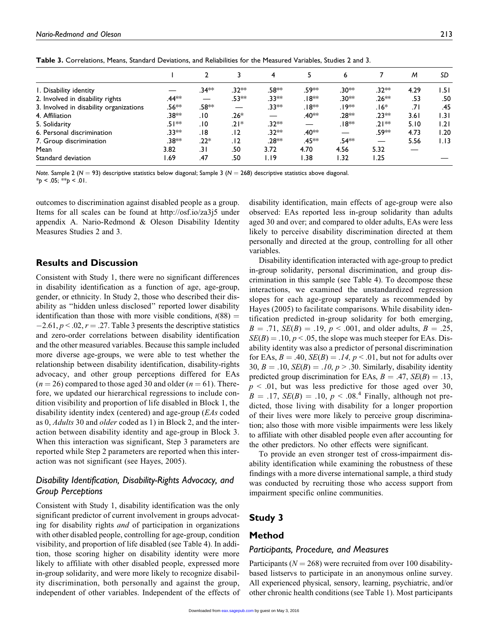Table 3. Correlations, Means, Standard Deviations, and Reliabilities for the Measured Variables, Studies 2 and 3.

|                                         |       |         |        | 4       |                    | 6     |         | M    | SD    |
|-----------------------------------------|-------|---------|--------|---------|--------------------|-------|---------|------|-------|
| I. Disability identity                  |       | $.34**$ | .32**  | .58**   | .59**              | .30** | .32**   | 4.29 | I.5 I |
| 2. Involved in disability rights        | .44** |         | .53**  | $.33**$ | .18**              | .30** | .26**   | .53  | .50   |
| 3. Involved in disability organizations | .56** | .58**   |        | .33**   | .18**              | .19** | *6ا.    | ا7.  | .45   |
| 4. Affiliation                          | .38** | .10     | $.26*$ |         | .40**              | .28** | $.23**$ | 3.61 | 1.31  |
| 5. Solidarity                           | .51** | 0١.     | $.21*$ | .32**   |                    | .18** | $.21**$ | 5.10 | 1.21  |
| 6. Personal discrimination              | .33** | 18.     | .12    | $.32**$ | .40 <sup>*</sup> * |       | .59**   | 4.73 | 1.20  |
| 7. Group discrimination                 | .38** | $.22*$  | .12    | .28**   | .45**              | .54** |         | 5.56 | 1.13  |
| Mean                                    | 3.82  | .31     | .50    | 3.72    | 4.70               | 4.56  | 5.32    |      |       |
| Standard deviation                      | 69. ا | .47     | .50    | 1.19    | 1.38               | 1.32  | l.25    |      |       |

Note. Sample 2 ( $N = 93$ ) descriptive statistics below diagonal; Sample 3 ( $N = 268$ ) descriptive statistics above diagonal.  $*_{p}$  < .05;  $*_{p}$  < .01.

outcomes to discrimination against disabled people as a group. Items for all scales can be found at<http://osf.io/za3j5> under appendix A. Nario-Redmond & Oleson Disability Identity Measures Studies 2 and 3.

### Results and Discussion

Consistent with Study 1, there were no significant differences in disability identification as a function of age, age-group, gender, or ethnicity. In Study 2, those who described their disability as ''hidden unless disclosed'' reported lower disability identification than those with more visible conditions,  $t(88) =$  $-2.61, p < 0.02, r = .27$ . Table 3 presents the descriptive statistics and zero-order correlations between disability identification and the other measured variables. Because this sample included more diverse age-groups, we were able to test whether the relationship between disability identification, disability-rights advocacy, and other group perceptions differed for EAs  $(n = 26)$  compared to those aged 30 and older  $(n = 61)$ . Therefore, we updated our hierarchical regressions to include condition visibility and proportion of life disabled in Block 1, the disability identity index (centered) and age-group (EAs coded as 0, Adults 30 and older coded as 1) in Block 2, and the interaction between disability identity and age-group in Block 3. When this interaction was significant, Step 3 parameters are reported while Step 2 parameters are reported when this interaction was not significant (see Hayes, 2005).

# Disability Identification, Disability-Rights Advocacy, and Group Perceptions

Consistent with Study 1, disability identification was the only significant predictor of current involvement in groups advocating for disability rights *and* of participation in organizations with other disabled people, controlling for age-group, condition visibility, and proportion of life disabled (see Table 4). In addition, those scoring higher on disability identity were more likely to affiliate with other disabled people, expressed more in-group solidarity, and were more likely to recognize disability discrimination, both personally and against the group, independent of other variables. Independent of the effects of disability identification, main effects of age-group were also observed: EAs reported less in-group solidarity than adults aged 30 and over; and compared to older adults, EAs were less likely to perceive disability discrimination directed at them personally and directed at the group, controlling for all other variables.

Disability identification interacted with age-group to predict in-group solidarity, personal discrimination, and group discrimination in this sample (see Table 4). To decompose these interactions, we examined the unstandardized regression slopes for each age-group separately as recommended by Hayes (2005) to facilitate comparisons. While disability identification predicted in-group solidarity for both emerging,  $B = .71$ ,  $SE(B) = .19$ ,  $p < .001$ , and older adults,  $B = .25$ ,  $SE(B) = .10, p < .05$ , the slope was much steeper for EAs. Disability identity was also a predictor of personal discrimination for EAs,  $B = .40$ ,  $SE(B) = .14$ ,  $p < .01$ , but not for adults over 30,  $B = .10$ ,  $SE(B) = .10$ ,  $p > .30$ . Similarly, disability identity predicted group discrimination for EAs,  $B = .47$ ,  $SE(B) = .13$ ,  $p \leq 0.01$ , but was less predictive for those aged over 30,  $B = .17$ ,  $SE(B) = .10$ ,  $p < .08<sup>4</sup>$  Finally, although not predicted, those living with disability for a longer proportion of their lives were more likely to perceive group discrimination; also those with more visible impairments were less likely to affiliate with other disabled people even after accounting for the other predictors. No other effects were significant.

To provide an even stronger test of cross-impairment disability identification while examining the robustness of these findings with a more diverse international sample, a third study was conducted by recruiting those who access support from impairment specific online communities.

# Study 3

## Method

#### Participants, Procedure, and Measures

Participants ( $N = 268$ ) were recruited from over 100 disabilitybased listservs to participate in an anonymous online survey. All experienced physical, sensory, learning, psychiatric, and/or other chronic health conditions (see Table 1). Most participants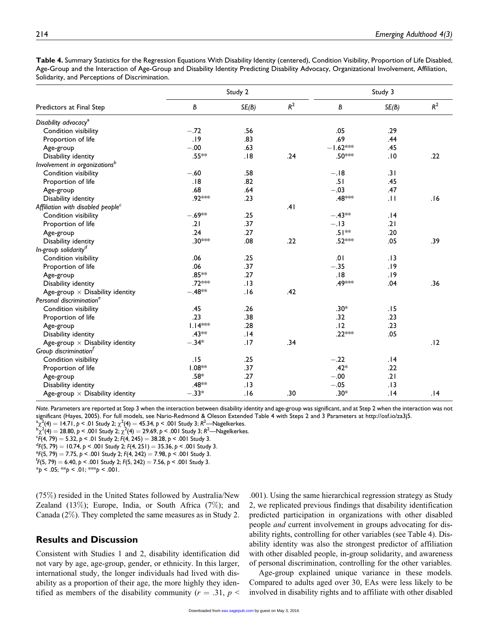Table 4. Summary Statistics for the Regression Equations With Disability Identity (centered), Condition Visibility, Proportion of Life Disabled, Age-Group and the Interaction of Age-Group and Disability Identity Predicting Disability Advocacy, Organizational Involvement, Affiliation, Solidarity, and Perceptions of Discrimination.

|                                               |           | Study 2 |       |                    | Study 3 |       |
|-----------------------------------------------|-----------|---------|-------|--------------------|---------|-------|
| Predictors at Final Step                      | В         | SE(B)   | $R^2$ | В                  | SE(B)   | $R^2$ |
| Disability advocacy <sup>a</sup>              |           |         |       |                    |         |       |
| Condition visibility                          | $-.72$    | .56     |       | .05                | .29     |       |
| Proportion of life                            | .19       | .83     |       | .69                | .44     |       |
| Age-group                                     | $-.00$    | .63     |       | $-1.62***$         | .45     |       |
| Disability identity                           | .55**     | .18     | .24   | .50 <sup>***</sup> | .10     | .22   |
| Involvement in organizations <sup>b</sup>     |           |         |       |                    |         |       |
| Condition visibility                          | $-.60$    | .58     |       | $-.18$             | .31     |       |
| Proportion of life                            | .18       | .82     |       | .51                | .45     |       |
| Age-group                                     | .68       | .64     |       | $-.03$             | .47     |       |
| Disability identity                           | .92***    | .23     |       | .48 <sup>***</sup> | .11     | .16   |
| Affiliation with disabled people <sup>c</sup> |           |         | .41   |                    |         |       |
| Condition visibility                          | $-.69**$  | .25     |       | $-.43**$           | .14     |       |
| Proportion of life                            | .21       | .37     |       | $-.13$             | .21     |       |
| Age-group                                     | .24       | .27     |       | $.51***$           | .20     |       |
| Disability identity                           | $.30***$  | .08     | .22   | .52***             | .05     | .39   |
| In-group solidarity <sup>d</sup>              |           |         |       |                    |         |       |
| Condition visibility                          | .06       | .25     |       | 10.                | .13     |       |
| Proportion of life                            | .06       | .37     |       | $-.35$             | .19     |       |
| Age-group                                     | .85**     | .27     |       | .18                | .19     |       |
| Disability identity                           | .72***    | .13     |       | .49***             | .04     | .36   |
| Age-group $\times$ Disability identity        | $-.48**$  | .16     | .42   |                    |         |       |
| Personal discrimination <sup>e</sup>          |           |         |       |                    |         |       |
| Condition visibility                          | .45       | .26     |       | $.30*$             | .15     |       |
| Proportion of life                            | .23       | .38     |       | .32                | .23     |       |
| Age-group                                     | $1.14***$ | .28     |       | .12                | .23     |       |
| Disability identity                           | $.43**$   | .14     |       | .22***             | .05     |       |
| Age-group $\times$ Disability identity        | $-.34*$   | .17     | .34   |                    |         | .12   |
| Group discrimination <sup>f</sup>             |           |         |       |                    |         |       |
| Condition visibility                          | .15       | .25     |       | $-.22$             | .14     |       |
| Proportion of life                            | $1.08**$  | .37     |       | $.42*$             | .22     |       |
| Age-group                                     | $.58*$    | .27     |       | $-.00$             | .21     |       |
| Disability identity                           | .48 **    | .13     |       | $-.05$             | .13     |       |
| Age-group $\times$ Disability identity        | $-.33*$   | .16     | .30   | $.30*$             | .14     | .14   |

Note. Parameters are reported at Step 3 when the interaction between disability identity and age-group was significant, and at Step 2 when the interaction was not significant (Hayes, 2005). For full models, see Nario-Redmond & Oleson Extended Table 4 with Steps 2 and 3 Parameters at [http://osf.io/za3j5.](http://osf.io/za3j5)

 $\sqrt[3]{2(4)} = 14.71, p < .01$  Study 2;  $\chi^2(4) = 45.34, p < .001$  Study 3;  $R^2$ —Nagelkerkes.<br>by 2(4) – 28.80, p < 001 Study 2;  $\chi^2(4)$  – 29.69, p < 001 Study 3;  $R^2$ —Nagelkerkes.

 $\frac{b}{\chi^2(4)} = 28.80, p < .001$  Study 2;  $\chi^2(4) = 29.69, p < .001$  Study 3;  $R^2$ —Nagelkerkes.<br>SE(4.79) – 5.32, p < 01.5tudy 2; E(4.245) – 38.28, p < 001.5tudy 3.  ${}^{c}F(4, 79) = 5.32, p < .01$  Study 2;  $F(4, 245) = 38.28, p < .001$  Study 3.

 ${}^{d}F(5, 79) = 10.74, p < .001$  Study 2;  $F(4, 251) = 35.36, p < .001$  Study 3.

 ${}^eF(5, 79) = 7.75$ , p < .001 Study 2;  $F(4, 242) = 7.98$ , p < .001 Study 3.

 $F(5, 79) = 6.40, p < .001$  Study 2;  $F(5, 242) = 7.56, p < .001$  Study 3.

 $*_{p}$  < .05;  $*_{p}$  < .01;  $*_{p}$  < .001.

(75%) resided in the United States followed by Australia/New Zealand  $(13\%)$ ; Europe, India, or South Africa  $(7\%)$ ; and Canada (2%). They completed the same measures as in Study 2.

## Results and Discussion

Consistent with Studies 1 and 2, disability identification did not vary by age, age-group, gender, or ethnicity. In this larger, international study, the longer individuals had lived with disability as a proportion of their age, the more highly they identified as members of the disability community ( $r = .31$ ,  $p <$  .001). Using the same hierarchical regression strategy as Study 2, we replicated previous findings that disability identification predicted participation in organizations with other disabled people and current involvement in groups advocating for disability rights, controlling for other variables (see Table 4). Disability identity was also the strongest predictor of affiliation with other disabled people, in-group solidarity, and awareness of personal discrimination, controlling for the other variables.

Age-group explained unique variance in these models. Compared to adults aged over 30, EAs were less likely to be involved in disability rights and to affiliate with other disabled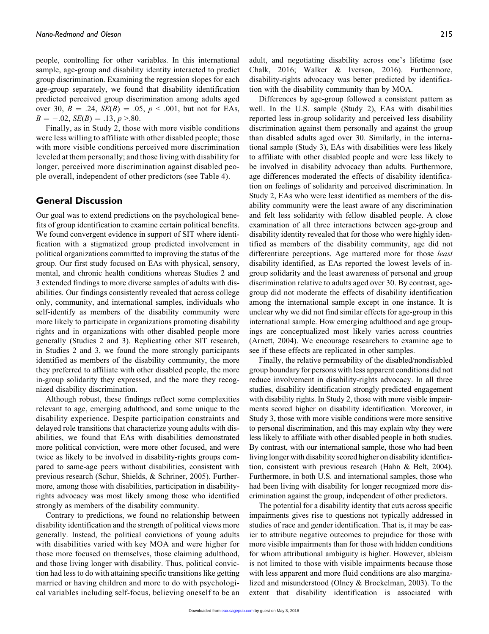people, controlling for other variables. In this international sample, age-group and disability identity interacted to predict group discrimination. Examining the regression slopes for each age-group separately, we found that disability identification predicted perceived group discrimination among adults aged over 30,  $B = .24$ ,  $SE(B) = .05$ ,  $p < .001$ , but not for EAs,  $B = -.02$ ,  $SE(B) = .13$ ,  $p > .80$ .

Finally, as in Study 2, those with more visible conditions were less willing to affiliate with other disabled people; those with more visible conditions perceived more discrimination leveled at them personally; and those living with disability for longer, perceived more discrimination against disabled people overall, independent of other predictors (see Table 4).

### General Discussion

Our goal was to extend predictions on the psychological benefits of group identification to examine certain political benefits. We found convergent evidence in support of SIT where identification with a stigmatized group predicted involvement in political organizations committed to improving the status of the group. Our first study focused on EAs with physical, sensory, mental, and chronic health conditions whereas Studies 2 and 3 extended findings to more diverse samples of adults with disabilities. Our findings consistently revealed that across college only, community, and international samples, individuals who self-identify as members of the disability community were more likely to participate in organizations promoting disability rights and in organizations with other disabled people more generally (Studies 2 and 3). Replicating other SIT research, in Studies 2 and 3, we found the more strongly participants identified as members of the disability community, the more they preferred to affiliate with other disabled people, the more in-group solidarity they expressed, and the more they recognized disability discrimination.

Although robust, these findings reflect some complexities relevant to age, emerging adulthood, and some unique to the disability experience. Despite participation constraints and delayed role transitions that characterize young adults with disabilities, we found that EAs with disabilities demonstrated more political conviction, were more other focused, and were twice as likely to be involved in disability-rights groups compared to same-age peers without disabilities, consistent with previous research (Schur, Shields, & Schriner, 2005). Furthermore, among those with disabilities, participation in disabilityrights advocacy was most likely among those who identified strongly as members of the disability community.

Contrary to predictions, we found no relationship between disability identification and the strength of political views more generally. Instead, the political convictions of young adults with disabilities varied with key MOA and were higher for those more focused on themselves, those claiming adulthood, and those living longer with disability. Thus, political conviction had less to do with attaining specific transitions like getting married or having children and more to do with psychological variables including self-focus, believing oneself to be an

adult, and negotiating disability across one's lifetime (see Chalk, 2016; Walker & Iverson, 2016). Furthermore, disability-rights advocacy was better predicted by identification with the disability community than by MOA.

Differences by age-group followed a consistent pattern as well. In the U.S. sample (Study 2), EAs with disabilities reported less in-group solidarity and perceived less disability discrimination against them personally and against the group than disabled adults aged over 30. Similarly, in the international sample (Study 3), EAs with disabilities were less likely to affiliate with other disabled people and were less likely to be involved in disability advocacy than adults. Furthermore, age differences moderated the effects of disability identification on feelings of solidarity and perceived discrimination. In Study 2, EAs who were least identified as members of the disability community were the least aware of any discrimination and felt less solidarity with fellow disabled people. A close examination of all three interactions between age-group and disability identity revealed that for those who were highly identified as members of the disability community, age did not differentiate perceptions. Age mattered more for those least disability identified, as EAs reported the lowest levels of ingroup solidarity and the least awareness of personal and group discrimination relative to adults aged over 30. By contrast, agegroup did not moderate the effects of disability identification among the international sample except in one instance. It is unclear why we did not find similar effects for age-group in this international sample. How emerging adulthood and age groupings are conceptualized most likely varies across countries (Arnett, 2004). We encourage researchers to examine age to see if these effects are replicated in other samples.

Finally, the relative permeability of the disabled/nondisabled group boundary for persons with less apparent conditions did not reduce involvement in disability-rights advocacy. In all three studies, disability identification strongly predicted engagement with disability rights. In Study 2, those with more visible impairments scored higher on disability identification. Moreover, in Study 3, those with more visible conditions were more sensitive to personal discrimination, and this may explain why they were less likely to affiliate with other disabled people in both studies. By contrast, with our international sample, those who had been living longer with disability scored higher on disability identification, consistent with previous research (Hahn & Belt, 2004). Furthermore, in both U.S. and international samples, those who had been living with disability for longer recognized more discrimination against the group, independent of other predictors.

The potential for a disability identity that cuts across specific impairments gives rise to questions not typically addressed in studies of race and gender identification. That is, it may be easier to attribute negative outcomes to prejudice for those with more visible impairments than for those with hidden conditions for whom attributional ambiguity is higher. However, ableism is not limited to those with visible impairments because those with less apparent and more fluid conditions are also marginalized and misunderstood (Olney & Brockelman, 2003). To the extent that disability identification is associated with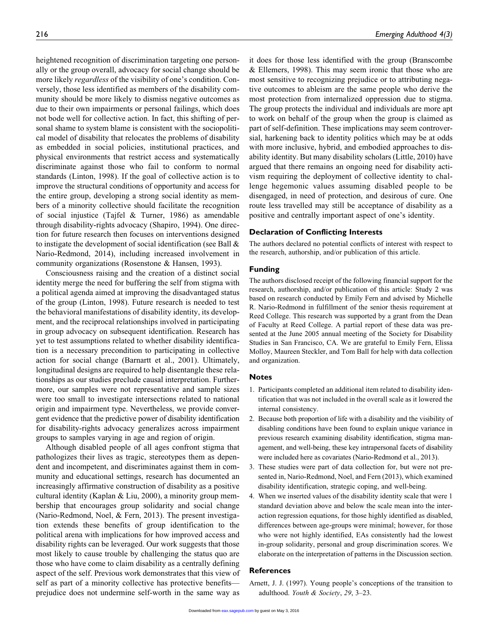heightened recognition of discrimination targeting one personally or the group overall, advocacy for social change should be more likely *regardless* of the visibility of one's condition. Conversely, those less identified as members of the disability community should be more likely to dismiss negative outcomes as due to their own impairments or personal failings, which does not bode well for collective action. In fact, this shifting of personal shame to system blame is consistent with the sociopolitical model of disability that relocates the problems of disability as embedded in social policies, institutional practices, and physical environments that restrict access and systematically discriminate against those who fail to conform to normal standards (Linton, 1998). If the goal of collective action is to improve the structural conditions of opportunity and access for the entire group, developing a strong social identity as members of a minority collective should facilitate the recognition of social injustice (Tajfel & Turner, 1986) as amendable through disability-rights advocacy (Shapiro, 1994). One direction for future research then focuses on interventions designed to instigate the development of social identification (see Ball & Nario-Redmond, 2014), including increased involvement in community organizations (Rosenstone & Hansen, 1993).

Consciousness raising and the creation of a distinct social identity merge the need for buffering the self from stigma with a political agenda aimed at improving the disadvantaged status of the group (Linton, 1998). Future research is needed to test the behavioral manifestations of disability identity, its development, and the reciprocal relationships involved in participating in group advocacy on subsequent identification. Research has yet to test assumptions related to whether disability identification is a necessary precondition to participating in collective action for social change (Barnartt et al., 2001). Ultimately, longitudinal designs are required to help disentangle these relationships as our studies preclude causal interpretation. Furthermore, our samples were not representative and sample sizes were too small to investigate intersections related to national origin and impairment type. Nevertheless, we provide convergent evidence that the predictive power of disability identification for disability-rights advocacy generalizes across impairment groups to samples varying in age and region of origin.

Although disabled people of all ages confront stigma that pathologizes their lives as tragic, stereotypes them as dependent and incompetent, and discriminates against them in community and educational settings, research has documented an increasingly affirmative construction of disability as a positive cultural identity (Kaplan & Liu, 2000), a minority group membership that encourages group solidarity and social change (Nario-Redmond, Noel, & Fern, 2013). The present investigation extends these benefits of group identification to the political arena with implications for how improved access and disability rights can be leveraged. Our work suggests that those most likely to cause trouble by challenging the status quo are those who have come to claim disability as a centrally defining aspect of the self. Previous work demonstrates that this view of self as part of a minority collective has protective benefitsprejudice does not undermine self-worth in the same way as

it does for those less identified with the group (Branscombe & Ellemers, 1998). This may seem ironic that those who are most sensitive to recognizing prejudice or to attributing negative outcomes to ableism are the same people who derive the most protection from internalized oppression due to stigma. The group protects the individual and individuals are more apt to work on behalf of the group when the group is claimed as part of self-definition. These implications may seem controversial, harkening back to identity politics which may be at odds with more inclusive, hybrid, and embodied approaches to disability identity. But many disability scholars (Little, 2010) have argued that there remains an ongoing need for disability activism requiring the deployment of collective identity to challenge hegemonic values assuming disabled people to be disengaged, in need of protection, and desirous of cure. One route less travelled may still be acceptance of disability as a positive and centrally important aspect of one's identity.

#### Declaration of Conflicting Interests

The authors declared no potential conflicts of interest with respect to the research, authorship, and/or publication of this article.

#### Funding

The authors disclosed receipt of the following financial support for the research, authorship, and/or publication of this article: Study 2 was based on research conducted by Emily Fern and advised by Michelle R. Nario-Redmond in fulfillment of the senior thesis requirement at Reed College. This research was supported by a grant from the Dean of Faculty at Reed College. A partial report of these data was presented at the June 2005 annual meeting of the Society for Disability Studies in San Francisco, CA. We are grateful to Emily Fern, Elissa Molloy, Maureen Steckler, and Tom Ball for help with data collection and organization.

#### Notes

- 1. Participants completed an additional item related to disability identification that was not included in the overall scale as it lowered the internal consistency.
- 2. Because both proportion of life with a disability and the visibility of disabling conditions have been found to explain unique variance in previous research examining disability identification, stigma management, and well-being, these key intrapersonal facets of disability were included here as covariates (Nario-Redmond et al., 2013).
- 3. These studies were part of data collection for, but were not presented in, Nario-Redmond, Noel, and Fern (2013), which examined disability identification, strategic coping, and well-being.
- 4. When we inserted values of the disability identity scale that were 1 standard deviation above and below the scale mean into the interaction regression equations, for those highly identified as disabled, differences between age-groups were minimal; however, for those who were not highly identified, EAs consistently had the lowest in-group solidarity, personal and group discrimination scores. We elaborate on the interpretation of patterns in the Discussion section.

#### **References**

Arnett, J. J. (1997). Young people's conceptions of the transition to adulthood. Youth & Society, 29, 3–23.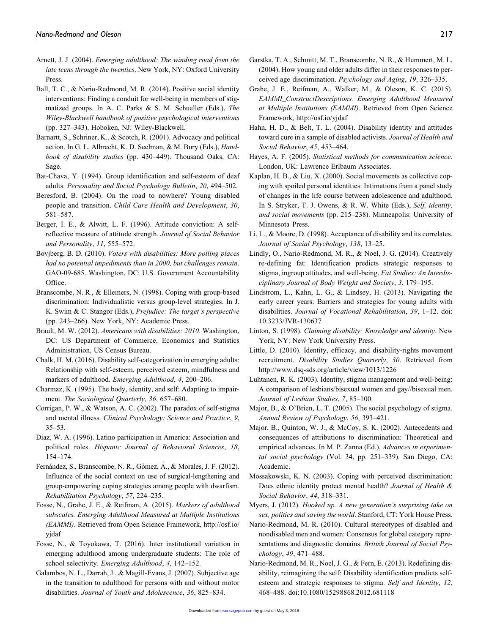- Arnett, J. J. (2004). Emerging adulthood: The winding road from the late teens through the twenties. New York, NY: Oxford University Press.
- Ball, T. C., & Nario-Redmond, M. R. (2014). Positive social identity interventions: Finding a conduit for well-being in members of stigmatized groups. In A. C. Parks & S. M. Schueller (Eds.), The Wiley-Blackwell handbook of positive psychological interventions (pp. 327–343). Hoboken, NJ: Wiley-Blackwell.
- Barnartt, S., Schriner, K., & Scotch, R. (2001). Advocacy and political action. In G. L. Albrecht, K. D. Seelman, & M. Bury (Eds.), Handbook of disability studies (pp. 430–449). Thousand Oaks, CA: Sage.
- Bat-Chava, Y. (1994). Group identification and self-esteem of deaf adults. Personality and Social Psychology Bulletin, 20, 494–502.
- Beresford, B. (2004). On the road to nowhere? Young disabled people and transition. Child Care Health and Development, 30, 581–587.
- Berger, I. E., & Alwitt, L. F. (1996). Attitude conviction: A selfreflective measure of attitude strength. Journal of Social Behavior and Personality, 11, 555–572.
- Bovjberg, B. D. (2010). Voters with disabilities: More polling places had no potential impediments than in 2000, but challenges remain. GAO-09-685. Washington, DC: U.S. Government Accountability Office.
- Branscombe, N. R., & Ellemers, N. (1998). Coping with group-based discrimination: Individualistic versus group-level strategies. In J. K. Swim & C. Stangor (Eds.), Prejudice: The target's perspective (pp. 243–266). New York, NY: Academic Press.
- Brault, M. W. (2012). Americans with disabilities: 2010. Washington, DC: US Department of Commerce, Economics and Statistics Administration, US Census Bureau.
- Chalk, H. M. (2016). Disability self-categorization in emerging adults: Relationship with self-esteem, perceived esteem, mindfulness and markers of adulthood. Emerging Adulthood, 4, 200–206.
- Charmaz, K. (1995). The body, identity, and self: Adapting to impairment. The Sociological Quarterly, 36, 657–680.
- Corrigan, P. W., & Watson, A. C. (2002). The paradox of self-stigma and mental illness. Clinical Psychology: Science and Practice, 9, 35–53.
- Diaz, W. A. (1996). Latino participation in America: Association and political roles. Hispanic Journal of Behavioral Sciences, 18, 154–174.
- Fernández, S., Branscombe, N. R., Gómez, Á., & Morales, J. F. (2012). Influence of the social context on use of surgical-lengthening and group-empowering coping strategies among people with dwarfism. Rehabilitation Psychology, 57, 224–235.
- Fosse, N., Grahe, J. E., & Reifman, A. (2015). Markers of adulthood subscales. Emerging Adulthood Measured at Multiple Institutions (EAMMI). Retrieved from Open Science Framework, [http://osf.io/](http://osf.io/yjdaf) [yjdaf](http://osf.io/yjdaf)
- Fosse, N., & Toyokawa, T. (2016). Inter institutional variation in emerging adulthood among undergraduate students: The role of school selectivity. Emerging Adulthood, 4, 142-152.
- Galambos, N. L., Darrah, J., & Magill-Evans, J. (2007). Subjective age in the transition to adulthood for persons with and without motor disabilities. Journal of Youth and Adolescence, 36, 825–834.
- Garstka, T. A., Schmitt, M. T., Branscombe, N. R., & Hummert, M. L. (2004). How young and older adults differ in their responses to perceived age discrimination. Psychology and Aging, 19, 326–335.
- Grahe, J. E., Reifman, A., Walker, M., & Oleson, K. C. (2015). EAMMI\_ConstructDescriptions. Emerging Adulthood Measured at Multiple Institutions (EAMMI). Retrieved from Open Science Framework,<http://osf.io/yjdaf>
- Hahn, H. D., & Belt, T. L. (2004). Disability identity and attitudes toward cure in a sample of disabled activists. Journal of Health and Social Behavior, 45, 453–464.
- Hayes, A. F. (2005). Statistical methods for communication science. London, UK: Lawrence Erlbaum Associates.
- Kaplan, H. B., & Liu, X. (2000). Social movements as collective coping with spoiled personal identities: Intimations from a panel study of changes in the life course between adolescence and adulthood. In S. Stryker, T. J. Owens, & R. W. White (Eds.), Self, identity, and social movements (pp. 215–238). Minneapolis: University of Minnesota Press.
- Li, L., & Moore, D. (1998). Acceptance of disability and its correlates. Journal of Social Psychology, 138, 13–25.
- Lindly, O., Nario-Redmond, M. R., & Noel, J. G. (2014). Creatively re-defining fat: Identification predicts strategic responses to stigma, ingroup attitudes, and well-being. Fat Studies: An Interdisciplinary Journal of Body Weight and Society, 3, 179–195.
- Lindstrom, L., Kahn, L. G., & Lindsey, H. (2013). Navigating the early career years: Barriers and strategies for young adults with disabilities. Journal of Vocational Rehabilitation, 39, 1–12. doi: 10.3233/JVR-130637
- Linton, S. (1998). Claiming disability: Knowledge and identity. New York, NY: New York University Press.
- Little, D. (2010). Identity, efficacy, and disability-rights movement recruitment. Disability Studies Quarterly, 30. Retrieved from <http://www.dsq-sds.org/article/view/1013/1226>
- Luhtanen, R. K. (2003). Identity, stigma management and well-being: A comparison of lesbians/bisexual women and gay//bisexual men. Journal of Lesbian Studies, 7, 85–100.
- Major, B., & O'Brien, L. T. (2005). The social psychology of stigma. Annual Review of Psychology, 56, 393–421.
- Major, B., Quinton, W. J., & McCoy, S. K. (2002). Antecedents and consequences of attributions to discrimination: Theoretical and empirical advances. In M. P. Zanna (Ed.), Advances in experimental social psychology (Vol. 34, pp. 251–339). San Diego, CA: Academic.
- Mossakowski, K. N. (2003). Coping with perceived discrimination: Does ethnic identity protect mental health? Journal of Health & Social Behavior, 44, 318–331.
- Myers, J. (2012). Hooked up. A new generation's surprising take on sex, politics and saving the world. Stanford, CT: York House Press.
- Nario-Redmond, M. R. (2010). Cultural stereotypes of disabled and nondisabled men and women: Consensus for global category representations and diagnostic domains. British Journal of Social Psychology, 49, 471–488.
- Nario-Redmond, M. R., Noel, J. G., & Fern, E. (2013). Redefining disability, reimagining the self: Disability identification predicts selfesteem and strategic responses to stigma. Self and Identity, 12, 468–488. doi:10.1080/15298868.2012.681118